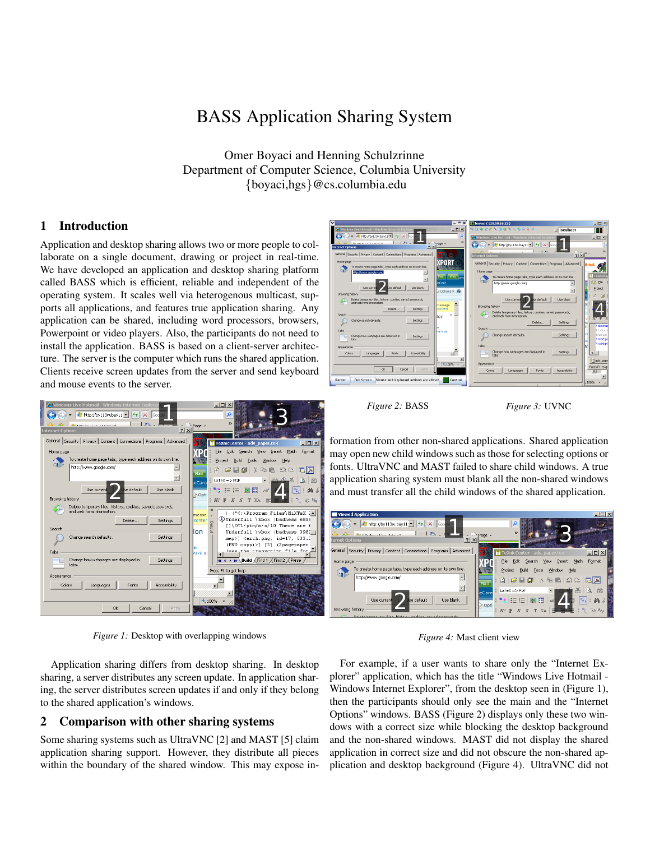# BASS Application Sharing System

Omer Boyaci and Henning Schulzrinne Department of Computer Science, Columbia University {boyaci,hgs}@cs.columbia.edu

## 1 Introduction

Application and desktop sharing allows two or more people to collaborate on a single document, drawing or project in real-time. We have developed an application and desktop sharing platform called BASS which is efficient, reliable and independent of the operating system. It scales well via heterogenous multicast, supports all applications, and features true application sharing. Any application can be shared, including word processors, browsers, Powerpoint or video players. Also, the participants do not need to install the application. BASS is based on a client-server architecture. The server is the computer which runs the shared application. Clients receive screen updates from the server and send keyboard and mouse events to the server.



*Figure 1:* Desktop with overlapping windows

Application sharing differs from desktop sharing. In desktop sharing, a server distributes any screen update. In application sharing, the server distributes screen updates if and only if they belong to the shared application's windows.

### 2 Comparison with other sharing systems

Some sharing systems such as UltraVNC [2] and MAST [5] claim application sharing support. However, they distribute all pieces within the boundary of the shared window. This may expose in-



*Figure 2:* BASS *Figure 3:* UVNC

formation from other non-shared applications. Shared application may open new child windows such as those for selecting options or fonts. UltraVNC and MAST failed to share child windows. A true application sharing system must blank all the non-shared windows and must transfer all the child windows of the shared application.



*Figure 4:* Mast client view

For example, if a user wants to share only the "Internet Explorer" application, which has the title "Windows Live Hotmail - Windows Internet Explorer", from the desktop seen in (Figure 1), then the participants should only see the main and the "Internet Options" windows. BASS (Figure 2) displays only these two windows with a correct size while blocking the desktop background and the non-shared windows. MAST did not display the shared application in correct size and did not obscure the non-shared application and desktop background (Figure 4). UltraVNC did not